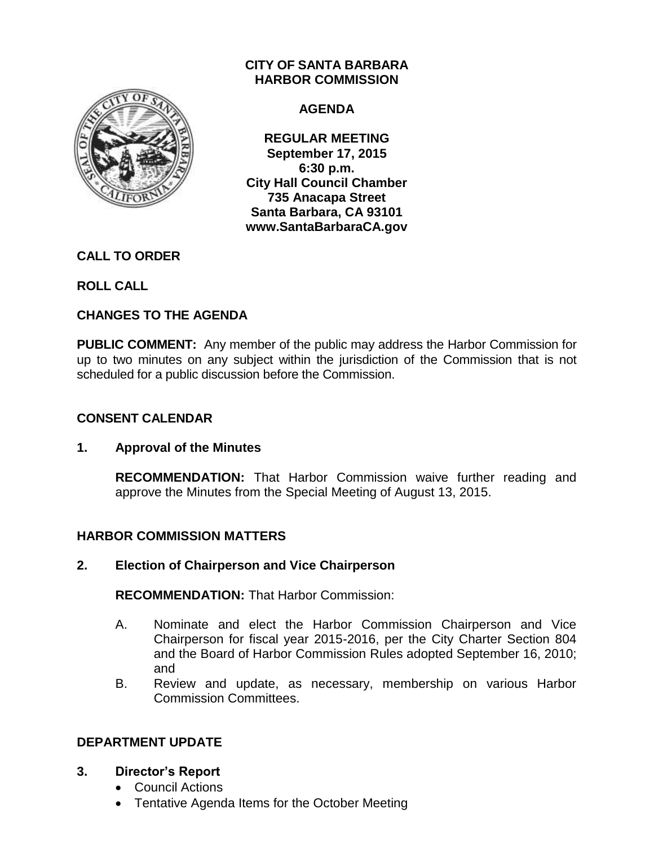

# **CITY OF SANTA BARBARA HARBOR COMMISSION**

# **AGENDA**

**REGULAR MEETING September 17, 2015 6:30 p.m. City Hall Council Chamber 735 Anacapa Street Santa Barbara, CA 93101 www.SantaBarbaraCA.gov**

# **CALL TO ORDER**

**ROLL CALL**

# **CHANGES TO THE AGENDA**

**PUBLIC COMMENT:** Any member of the public may address the Harbor Commission for up to two minutes on any subject within the jurisdiction of the Commission that is not scheduled for a public discussion before the Commission.

# **CONSENT CALENDAR**

# **1. Approval of the Minutes**

**RECOMMENDATION:** That Harbor Commission waive further reading and approve the Minutes from the Special Meeting of August 13, 2015.

# **HARBOR COMMISSION MATTERS**

# **2. Election of Chairperson and Vice Chairperson**

**RECOMMENDATION:** That Harbor Commission:

- A. Nominate and elect the Harbor Commission Chairperson and Vice Chairperson for fiscal year 2015-2016, per the City Charter Section 804 and the Board of Harbor Commission Rules adopted September 16, 2010; and
- B. Review and update, as necessary, membership on various Harbor Commission Committees.

# **DEPARTMENT UPDATE**

- **3. Director's Report**
	- Council Actions
	- Tentative Agenda Items for the October Meeting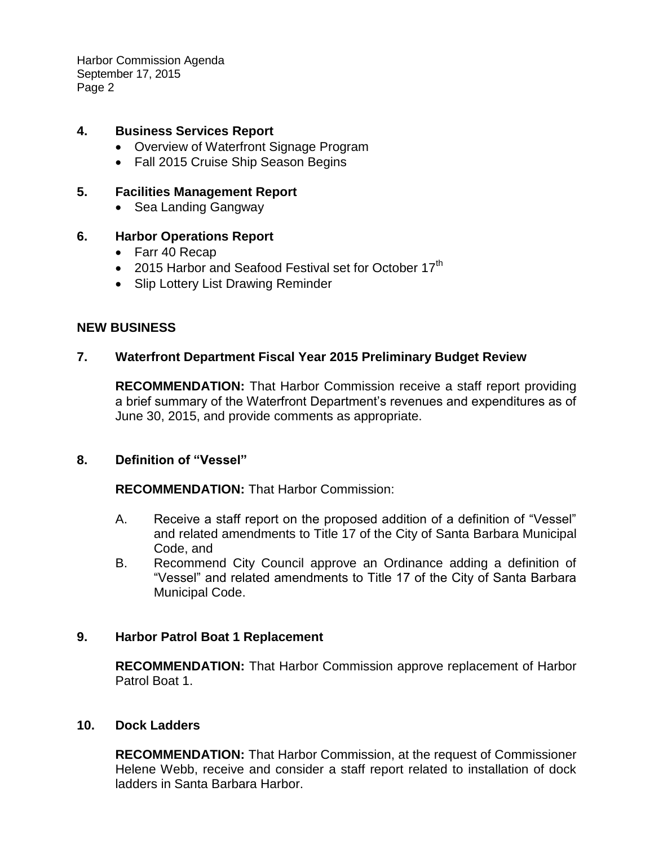Harbor Commission Agenda September 17, 2015 Page 2

### **4. Business Services Report**

- Overview of Waterfront Signage Program
- Fall 2015 Cruise Ship Season Begins

### **5. Facilities Management Report**

• Sea Landing Gangway

### **6. Harbor Operations Report**

- Farr 40 Recap
- 2015 Harbor and Seafood Festival set for October 17<sup>th</sup>
- Slip Lottery List Drawing Reminder

#### **NEW BUSINESS**

### **7. Waterfront Department Fiscal Year 2015 Preliminary Budget Review**

**RECOMMENDATION:** That Harbor Commission receive a staff report providing a brief summary of the Waterfront Department's revenues and expenditures as of June 30, 2015, and provide comments as appropriate.

#### **8. Definition of "Vessel"**

**RECOMMENDATION:** That Harbor Commission:

- A. Receive a staff report on the proposed addition of a definition of "Vessel" and related amendments to Title 17 of the City of Santa Barbara Municipal Code, and
- B. Recommend City Council approve an Ordinance adding a definition of "Vessel" and related amendments to Title 17 of the City of Santa Barbara Municipal Code.

#### **9. Harbor Patrol Boat 1 Replacement**

**RECOMMENDATION:** That Harbor Commission approve replacement of Harbor Patrol Boat 1.

#### **10. Dock Ladders**

**RECOMMENDATION:** That Harbor Commission, at the request of Commissioner Helene Webb, receive and consider a staff report related to installation of dock ladders in Santa Barbara Harbor.